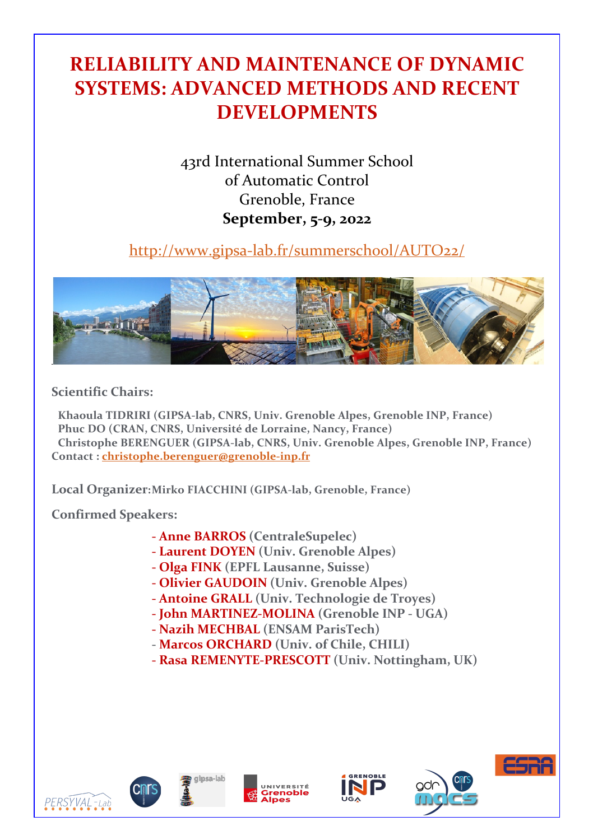# **RELIABILITY AND MAINTENANCE OF DYNAMIC SYSTEMS: ADVANCED METHODS AND RECENT DEVELOPMENTS**

43rd International Summer School of Automatic Control Grenoble, France **September, 5-9, 2022**

http://www.gipsa-lab.fr/summerschool/AUTO22/



**Scientific Chairs:**

**Khaoula TIDRIRI (GIPSA-lab, CNRS, Univ. Grenoble Alpes, Grenoble INP, France) Phuc DO (CRAN, CNRS, Université de Lorraine, Nancy, France) Christophe BERENGUER (GIPSA-lab, CNRS, Univ. Grenoble Alpes, Grenoble INP, France) Contact : christophe.berenguer@grenoble-inp.fr**

**Local Organizer:Mirko FIACCHINI (GIPSA-lab, Grenoble, France)**

**Confirmed Speakers:**

- **- Anne BARROS (CentraleSupelec)**
- **- Laurent DOYEN (Univ. Grenoble Alpes)**
- **- Olga FINK (EPFL Lausanne, Suisse)**
- **- Olivier GAUDOIN (Univ. Grenoble Alpes)**
- **- Antoine GRALL (Univ. Technologie de Troyes)**
- **- John MARTINEZ-MOLINA (Grenoble INP - UGA)**
- **- Nazih MECHBAL (ENSAM ParisTech)**
- **- Marcos ORCHARD (Univ. of Chile, CHILI)**
- **- Rasa REMENYTE-PRESCOTT (Univ. Nottingham, UK)**